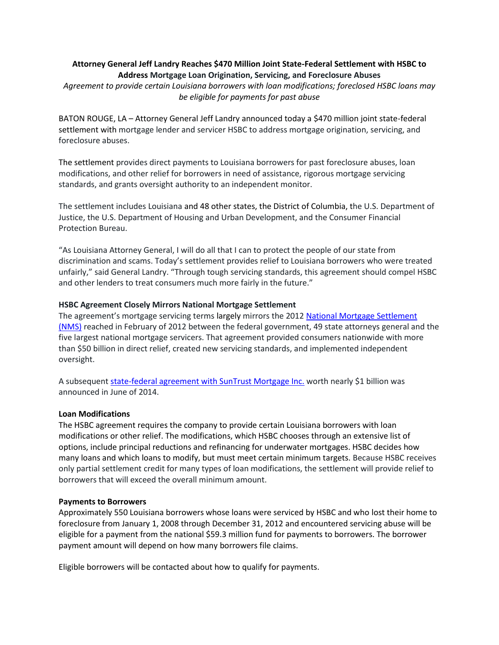# **Attorney General Jeff Landry Reaches \$470 Million Joint State-Federal Settlement with HSBC to Address Mortgage Loan Origination, Servicing, and Foreclosure Abuses**

*Agreement to provide certain Louisiana borrowers with loan modifications; foreclosed HSBC loans may be eligible for payments for past abuse*

BATON ROUGE, LA – Attorney General Jeff Landry announced today a \$470 million joint state-federal settlement with mortgage lender and servicer HSBC to address mortgage origination, servicing, and foreclosure abuses.

The settlement provides direct payments to Louisiana borrowers for past foreclosure abuses, loan modifications, and other relief for borrowers in need of assistance, rigorous mortgage servicing standards, and grants oversight authority to an independent monitor.

The settlement includes Louisiana and 48 other states, the District of Columbia, the U.S. Department of Justice, the U.S. Department of Housing and Urban Development, and the Consumer Financial Protection Bureau.

"As Louisiana Attorney General, I will do all that I can to protect the people of our state from discrimination and scams. Today's settlement provides relief to Louisiana borrowers who were treated unfairly," said General Landry. "Through tough servicing standards, this agreement should compel HSBC and other lenders to treat consumers much more fairly in the future."

# **HSBC Agreement Closely Mirrors National Mortgage Settlement**

The agreement's mortgage servicing terms largely mirrors the 2012 National Mortgage Settlement [\(NMS\)](http://www.nationalmortgagesettlement.com/) reached in February of 2012 between the federal government, 49 state attorneys general and the five largest national mortgage servicers. That agreement provided consumers nationwide with more than \$50 billion in direct relief, created new servicing standards, and implemented independent oversight.

A subsequen[t state-federal agreement with SunTrust Mortgage Inc.](http://www.justice.gov/opa/pr/federal-government-and-state-attorneys-general-reach-nearly-1-billion-agreement-suntrust) worth nearly \$1 billion was announced in June of 2014.

### **Loan Modifications**

The HSBC agreement requires the company to provide certain Louisiana borrowers with loan modifications or other relief. The modifications, which HSBC chooses through an extensive list of options, include principal reductions and refinancing for underwater mortgages. HSBC decides how many loans and which loans to modify, but must meet certain minimum targets. Because HSBC receives only partial settlement credit for many types of loan modifications, the settlement will provide relief to borrowers that will exceed the overall minimum amount.

### **Payments to Borrowers**

Approximately 550 Louisiana borrowers whose loans were serviced by HSBC and who lost their home to foreclosure from January 1, 2008 through December 31, 2012 and encountered servicing abuse will be eligible for a payment from the national \$59.3 million fund for payments to borrowers. The borrower payment amount will depend on how many borrowers file claims.

Eligible borrowers will be contacted about how to qualify for payments.